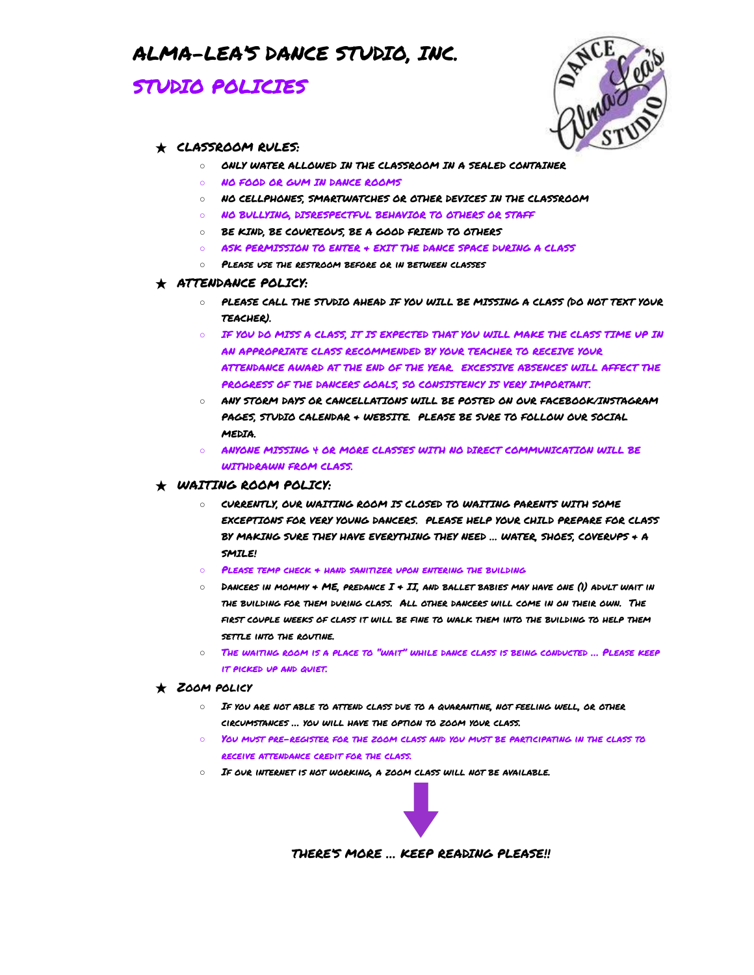## ALMA-LEA'S DANCE STUDIO, INC.

## STUDIO POLICIES



#### ★ CLASSROOM RULES:

- O ONLY WATER ALLOWED IN THE CLASSROOM IN A SEALED CONTAINER
- NO FOOD OR GUM IN DANCE ROOMS
- NO CELLPHONES, SMARTWATCHES OR OTHER DEVICES IN THE CLASSROOM
- O NO BULLYING, DISRESPECTFUL BEHAVIOR TO OTHERS OR STAFF
- BE KIND, BE COURTEOUS, BE A GOOD FRIEND TO OTHERS
- ASK PERMISSION TO ENTER & EXIT THE DANCE SPACE DURING A CLASS
- Please use the restroom before or in between classes

#### ★ ATTENDANCE POLICY:

- PLEASE CALL THE STUDIO AHEAD IF YOU WILL BE MISSING A CLASS (DO NOT TEXT YOUR TEACHER).
- $\circ$  IF YOU DO MISS A CLASS, IT IS EXPECTED THAT YOU WILL MAKE THE CLASS TIME UP IN AN APPROPRIATE CLASS RECOMMENDED BY YOUR TEACHER TO RECEIVE YOUR ATTENDANCE AWARD AT THE END OF THE YEAR. EXCESSIVE ABSENCES WILL AFFECT THE PROGRESS OF THE DANCERS GOALS, SO CONSISTENCY IS VERY IMPORTANT.
- ANY STORM DAYS OR CANCELLATIONS WILL BE POSTED ON OUR FACEBOOK/INSTAGRAM PAGES, STUDIO CALENDAR & WEBSITE. PLEASE BE SURE TO FOLLOW OUR SOCIAL **MEDIA**
- ANYONE MISSING 4 OR MORE CLASSES WITH NO DIRECT COMMUNICATION WILL BE WITHDRAWN FROM CLASS.

### $\star$  WAITING ROOM POLICY:

- CURRENTLY, OUR WAITING ROOM IS CLOSED TO WAITING PARENTS WITH SOME EXCEPTIONS FOR VERY YOUNG DANCERS. PLEASE HELP YOUR CHILD PREPARE FOR CLASS BY MAKING SURE THEY HAVE EVERYTHING THEY NEED … WATER, SHOES, COVERUPS & A SMILE!
- PLEASE TEMP CHECK + HAND SANITIZER UPON ENTERING THE BUILDING
- $\circ$  Dancers in mommy + ME, predance  $I$  + II, and ballet babies may have one (1) adult wait in the building for them during class. All other dancers will come in on their own. The first couple weeks of class it will be fine to walk them into the building to help them settle into the routine.
- The waiting room is a place to "wait" while dance class is being conducted … Please keep it picked up and quiet.

#### $\star$  ZOOM POLICY

- If you are not able to attend class due to a quarantine, not feeling well, or other circumstances … you will have the option to zoom your class.
- YOU MUST PRE-REGISTER FOR THE ZOOM CLASS AND YOU MUST BE PARTICIPATING IN THE CLASS TO receive attendance credit for the class.
- O IF OUR INTERNET IS NOT WORKING, A ZOOM CLASS WILL NOT BE AVAILABLE.



THERE'S MORE … KEEP READING PLEASE!!